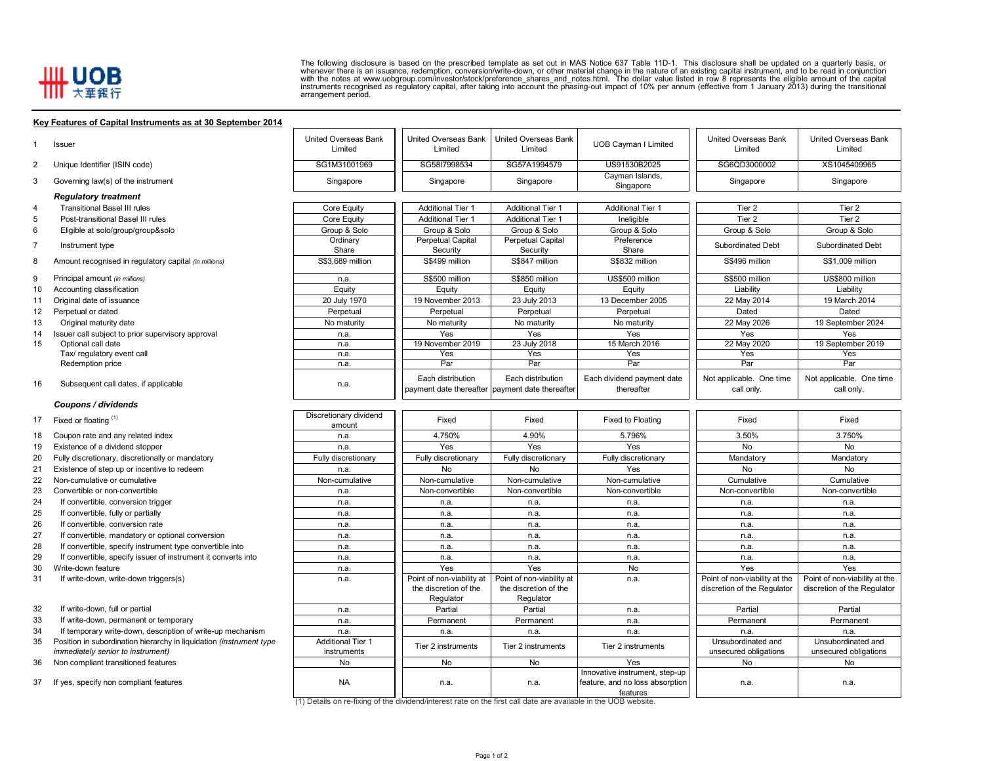## **HILL UOB**

The following disclosure is based on the prescribed template as set out in MAS Notice 637 Table 11D-1. This disclosure shall be updated on a quarterly basis, or<br>whenever there is an issuance, redemption, conversion/write-d

## **Key Features of Capital Instruments as at 30 September 2014**

| $\mathbf{1}$   | Issuer                                                                        | <b>United Overseas Bank</b><br>Limited | <b>United Overseas Bank</b><br>Limited | <b>United Overseas Bank</b><br>Limited                               | <b>UOB Cayman I Limited</b>                                                          | <b>United Overseas Bank</b><br>Limited | United Overseas Bank<br>Limited        |
|----------------|-------------------------------------------------------------------------------|----------------------------------------|----------------------------------------|----------------------------------------------------------------------|--------------------------------------------------------------------------------------|----------------------------------------|----------------------------------------|
| $\overline{2}$ | Unique Identifier (ISIN code)                                                 | SG1M31001969                           | SG58I7998534                           | SG57A1994579                                                         | US91530B2025                                                                         | SG6QD3000002                           | XS1045409965                           |
| 3              | Governing law(s) of the instrument                                            | Singapore                              | Singapore                              | Singapore                                                            | Cayman Islands,<br>Singapore                                                         | Singapore                              | Singapore                              |
|                | <b>Regulatory treatment</b>                                                   |                                        |                                        |                                                                      |                                                                                      |                                        |                                        |
| 4              | <b>Transitional Basel III rules</b>                                           | Core Equity                            | <b>Additional Tier 1</b>               | <b>Additional Tier 1</b>                                             | <b>Additional Tier 1</b>                                                             | Tier <sub>2</sub>                      | Tier <sub>2</sub>                      |
| 5              | Post-transitional Basel III rules                                             | Core Equity                            | <b>Additional Tier 1</b>               | <b>Additional Tier 1</b>                                             | Ineligible                                                                           | Tier 2                                 | Tier 2                                 |
| 6              | Eligible at solo/group/group&solo                                             | Group & Solo                           | Group & Solo                           | Group & Solo                                                         | Group & Solo                                                                         | Group & Solo                           | Group & Solo                           |
| $\overline{7}$ | Instrument type                                                               | Ordinary<br>Share                      | <b>Perpetual Capital</b>               | <b>Perpetual Capital</b>                                             | Preference<br>Share                                                                  | Subordinated Debt                      | Subordinated Debt                      |
| 8              | Amount recognised in regulatory capital (in millions)                         | S\$3,689 million                       | Security<br>S\$499 million             | Security<br>S\$847 million                                           | S\$832 million                                                                       | S\$496 million                         | S\$1,009 million                       |
| 9              | Principal amount (in millions)                                                | n.a.                                   | S\$500 million                         | S\$850 million                                                       | US\$500 million                                                                      | S\$500 million                         | US\$800 million                        |
| 10             | Accounting classification                                                     | Equity                                 | Equity                                 | Equity                                                               | Equity                                                                               | Liability                              | Liability                              |
| 11             | Original date of issuance                                                     | 20 July 1970                           | 19 November 2013                       | 23 July 2013                                                         | 13 December 2005                                                                     | 22 May 2014                            | 19 March 2014                          |
| 12             | Perpetual or dated                                                            | Perpetual                              | Perpetual                              | Perpetual                                                            | Perpetual                                                                            | Dated                                  | Dated                                  |
| 13             | Original maturity date                                                        | No maturity                            | No maturity                            | No maturity                                                          | No maturity                                                                          | 22 May 2026                            | 19 September 2024                      |
| 14             | Issuer call subject to prior supervisory approval                             | n.a.                                   | Yes                                    | Yes                                                                  | Yes                                                                                  | Yes                                    | Yes                                    |
| 15             | Optional call date                                                            | n.a.                                   | 19 November 2019                       | 23 July 2018                                                         | 15 March 2016                                                                        | 22 May 2020                            | 19 September 2019                      |
|                | Tax/ regulatory event call                                                    | n.a.                                   | Yes                                    | Yes                                                                  | Yes                                                                                  | Yes                                    | Yes                                    |
|                | Redemption price                                                              | n.a.                                   | Par                                    | Par                                                                  | Par                                                                                  | Par                                    | Par                                    |
| 16             | Subsequent call dates, if applicable                                          | n.a.                                   | Each distribution                      | Each distribution<br>payment date thereafter payment date thereafter | Each dividend payment date<br>thereafter                                             | Not applicable. One time<br>call only. | Not applicable. One time<br>call only. |
|                | Coupons / dividends                                                           |                                        |                                        |                                                                      |                                                                                      |                                        |                                        |
| 17             |                                                                               | Discretionary dividend                 | Fixed                                  | Fixed                                                                |                                                                                      | Fixed                                  | Fixed                                  |
|                | Fixed or floating (1)                                                         | amount                                 |                                        |                                                                      | Fixed to Floating                                                                    |                                        |                                        |
| 18             | Coupon rate and any related index                                             | n.a.                                   | 4.750%                                 | 4.90%                                                                | 5.796%                                                                               | 3.50%                                  | 3.750%                                 |
| 19             | Existence of a dividend stopper                                               | n.a.                                   | Yes                                    | Yes                                                                  | Yes                                                                                  | <b>No</b>                              | <b>No</b>                              |
| 20             | Fully discretionary, discretionally or mandatory                              | Fully discretionary                    | Fully discretionary                    | Fully discretionary                                                  | Fully discretionary                                                                  | Mandatory                              | Mandatory                              |
| 21             | Existence of step up or incentive to redeem                                   | n.a.                                   | <b>No</b>                              | <b>No</b>                                                            | Yes                                                                                  | No                                     | <b>No</b>                              |
| 22             | Non-cumulative or cumulative                                                  | Non-cumulative                         | Non-cumulative                         | Non-cumulative                                                       | Non-cumulative                                                                       | Cumulative                             | Cumulative                             |
| 23             | Convertible or non-convertible                                                | n.a.                                   | Non-convertible                        | Non-convertible                                                      | Non-convertible                                                                      | Non-convertible                        | Non-convertible                        |
| 24             | If convertible, conversion trigger                                            | n.a.                                   | n.a.                                   | n.a.                                                                 | n.a.                                                                                 | n.a.                                   | n.a.                                   |
| 25             | If convertible, fully or partially                                            | n.a.                                   | n.a.                                   | n.a.                                                                 | n.a.                                                                                 | n.a.                                   | n.a.                                   |
| 26             | If convertible, conversion rate                                               | n.a.                                   | n.a.                                   | n.a.                                                                 | n.a.                                                                                 | n.a.                                   | n.a.                                   |
| 27             | If convertible, mandatory or optional conversion                              | n.a.                                   | n.a.                                   | n.a.                                                                 | n.a.                                                                                 | n.a.                                   | n.a.                                   |
| 28             | If convertible, specify instrument type convertible into                      | n.a.                                   | n.a.                                   | n.a.                                                                 | n.a.                                                                                 | n.a.                                   | n.a.                                   |
| 29             | If convertible, specify issuer of instrument it converts into                 | n.a.                                   | n.a.                                   | n.a.                                                                 | n.a.                                                                                 | n.a.                                   | n.a.                                   |
| 30             | Write-down feature                                                            | n.a.                                   | Yes                                    | Yes                                                                  | No                                                                                   | Yes                                    | Yes                                    |
| 31             | If write-down, write-down triggers(s)                                         | n.a.                                   | Point of non-viability at              | Point of non-viability at                                            | n.a.                                                                                 | Point of non-viability at the          | Point of non-viability at the          |
|                |                                                                               |                                        | the discretion of the                  | the discretion of the                                                |                                                                                      | discretion of the Regulator            | discretion of the Regulator            |
|                |                                                                               |                                        | Regulator                              | Regulator                                                            |                                                                                      |                                        |                                        |
| 32             | If write-down, full or partial                                                | n.a.                                   | Partial                                | Partial                                                              | n.a.                                                                                 | Partial                                | Partial                                |
| 33             | If write-down, permanent or temporary                                         | n.a.                                   | Permanent                              | Permanent                                                            | n.a.                                                                                 | Permanent                              | Permanent                              |
| 34             | If temporary write-down, description of write-up mechanism                    | n.a.                                   | n.a.                                   | n.a.                                                                 | n.a.                                                                                 | n.a.                                   | n.a.                                   |
| 35             | Position in subordination hierarchy in liquidation (instrument type           | <b>Additional Tier 1</b>               | Tier 2 instruments                     | Tier 2 instruments                                                   | Tier 2 instruments                                                                   | Unsubordinated and                     | Unsubordinated and                     |
|                | <i>immediately senior to instrument)</i>                                      | instruments                            |                                        |                                                                      |                                                                                      | unsecured obligations                  | unsecured obligations                  |
| 36<br>37       | Non compliant transitioned features<br>If yes, specify non compliant features | No<br><b>NA</b>                        | No<br>n.a.                             | No<br>n.a.                                                           | Yes<br>Innovative instrument, step-up<br>feature, and no loss absorption<br>features | No<br>n.a.                             | No<br>n.a.                             |
|                |                                                                               |                                        |                                        |                                                                      |                                                                                      |                                        |                                        |

(1) Details on re-fixing of the dividend/interest rate on the first call date are available in the UOB website.